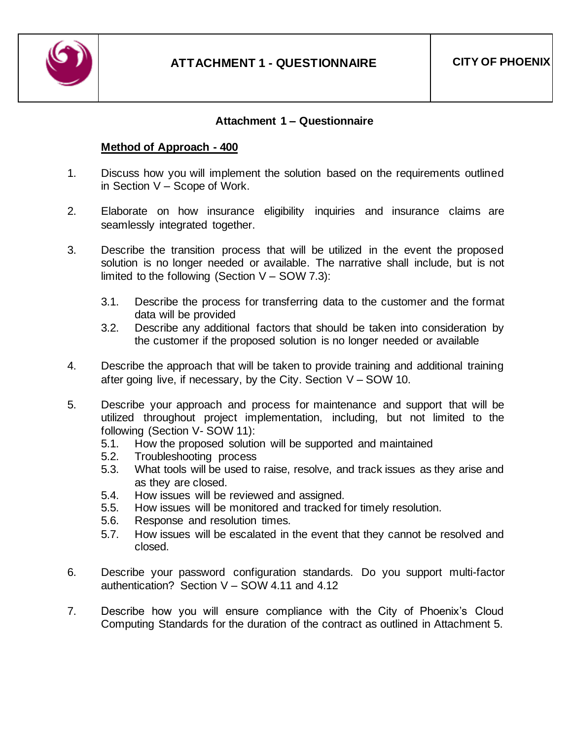

## **Attachment 1 – Questionnaire**

## **Method of Approach - 400**

- 1. Discuss how you will implement the solution based on the requirements outlined in Section V – Scope of Work.
- 2. Elaborate on how insurance eligibility inquiries and insurance claims are seamlessly integrated together.
- 3. Describe the transition process that will be utilized in the event the proposed solution is no longer needed or available. The narrative shall include, but is not limited to the following (Section  $V -$  SOW 7.3):
	- 3.1. Describe the process for transferring data to the customer and the format data will be provided
	- 3.2. Describe any additional factors that should be taken into consideration by the customer if the proposed solution is no longer needed or available
- 4. Describe the approach that will be taken to provide training and additional training after going live, if necessary, by the City. Section V – SOW 10.
- 5. Describe your approach and process for maintenance and support that will be utilized throughout project implementation, including, but not limited to the following (Section V- SOW 11):
	- 5.1. How the proposed solution will be supported and maintained
	- 5.2. Troubleshooting process
	- 5.3. What tools will be used to raise, resolve, and track issues as they arise and as they are closed.
	- 5.4. How issues will be reviewed and assigned.
	- 5.5. How issues will be monitored and tracked for timely resolution.
	- 5.6. Response and resolution times.
	- 5.7. How issues will be escalated in the event that they cannot be resolved and closed.
- 6. Describe your password configuration standards. Do you support multi-factor authentication? Section V – SOW 4.11 and 4.12
- 7. Describe how you will ensure compliance with the City of Phoenix's Cloud Computing Standards for the duration of the contract as outlined in Attachment 5.